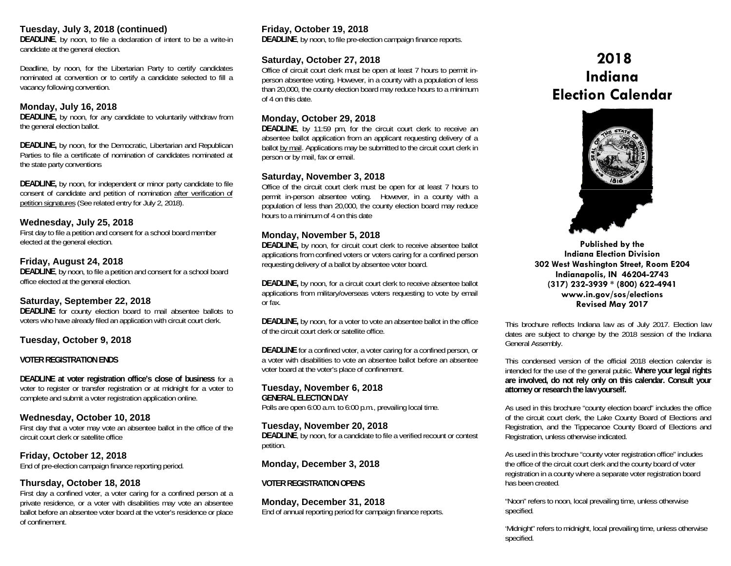#### **Tuesday, July 3, 2018 (continued)**

**DEADLINE**, by noon, to file a declaration of intent to be a write-in candidate at the general election.

Deadline, by noon, for the Libertarian Party to certify candidates nominated at convention or to certify a candidate selected to fill a vacancy following convention.

## **Monday, July 16, 2018**

**DEADLINE,** by noon, for any candidate to voluntarily withdraw from the general election ballot.

**DEADLINE,** by noon, for the Democratic, Libertarian and Republican Parties to file a certificate of nomination of candidates nominated at the state party conventions

**DEADLINE,** by noon, for independent or minor party candidate to file consent of candidate and petition of nomination after verification of petition signatures (See related entry for July 2, 2018).

#### **Wednesday, July 25, 2018**

First day to file a petition and consent for a school board member elected at the general election.

## **Friday, August 24, 2018**

**DEADLINE**, by noon, to file a petition and consent for a school board office elected at the general election.

## **Saturday, September 22, 2018**

**DEADLINE** for county election board to mail absentee ballots to voters who have already filed an application with circuit court clerk.

## **Tuesday, October 9, 2018**

#### **VOTER REGISTRATION ENDS**

**DEADLINE at voter registration office's close of business** for a voter to register or transfer registration or at midnight for a voter to complete and submit a voter registration application online.

## **Wednesday, October 10, 2018**

First day that a voter may vote an absentee ballot in the office of the circuit court clerk or satellite office

**Friday, October 12, 2018**  End of pre-election campaign finance reporting period.

## **Thursday, October 18, 2018**

First day a confined voter, a voter caring for a confined person at a private residence, or a voter with disabilities may vote an absentee ballot before an absentee voter board at the voter's residence or place of confinement.

# **Friday, October 19, 2018**

**DEADLINE**, by noon, to file pre-election campaign finance reports.

## **Saturday, October 27, 2018**

Office of circuit court clerk must be open at least 7 hours to permit inperson absentee voting. However, in a county with a population of less than 20,000, the county election board may reduce hours to a minimum of 4 on this date.

#### **Monday, October 29, 2018**

**DEADLINE**, by 11:59 pm, for the circuit court clerk to receive an absentee ballot application from an applicant requesting delivery of a ballot by mail. Applications may be submitted to the circuit court clerk in person or by mail, fax or email.

#### **Saturday, November 3, 2018**

Office of the circuit court clerk must be open for at least 7 hours to permit in-person absentee voting. However, in a county with a population of less than 20,000, the county election board may reduce hours to a minimum of 4 on this date

## **Monday, November 5, 2018**

**DEADLINE,** by noon, for circuit court clerk to receive absentee ballot applications from confined voters or voters caring for a confined person requesting delivery of a ballot by absentee voter board.

**DEADLINE,** by noon, for a circuit court clerk to receive absentee ballot applications from military/overseas voters requesting to vote by email or fax.

**DEADLINE,** by noon, for a voter to vote an absentee ballot in the office of the circuit court clerk or satellite office.

**DEADLINE** for a confined voter, a voter caring for a confined person, or a voter with disabilities to vote an absentee ballot before an absentee voter board at the voter's place of confinement.

## **Tuesday, November 6, 2018**

**GENERAL ELECTION DAY** Polls are open 6:00 a.m. to 6:00 p.m., prevailing local time.

**Tuesday, November 20, 2018 DEADLINE**, by noon, for a candidate to file a verified recount or contest petition.

## **Monday, December 3, 2018**

#### **VOTER REGISTRATION OPENS**

**Monday, December 31, 2018**  End of annual reporting period for campaign finance reports.

# **2018 Indiana Election Calendar**



**Published by the Indiana Election Division 302 West Washington Street, Room E204 Indianapolis, IN 46204-2743 (317) 232-3939 \* (800) 622-4941 www.in.gov/sos/elections Revised May 2017** 

This brochure reflects Indiana law as of July 2017. Election law dates are subject to change by the 2018 session of the Indiana General Assembly.

This condensed version of the official 2018 election calendar is intended for the use of the general public. **Where your legal rights are involved, do not rely only on this calendar. Consult your attorney or research the law yourself.** 

As used in this brochure "county election board" includes the office of the circuit court clerk, the Lake County Board of Elections and Registration, and the Tippecanoe County Board of Elections and Registration, unless otherwise indicated.

As used in this brochure "county voter registration office" includes the office of the circuit court clerk and the county board of voter registration in a county where a separate voter registration board has been created.

"Noon" refers to noon, local prevailing time, unless otherwise specified.

'Midnight" refers to midnight, local prevailing time, unless otherwise specified.